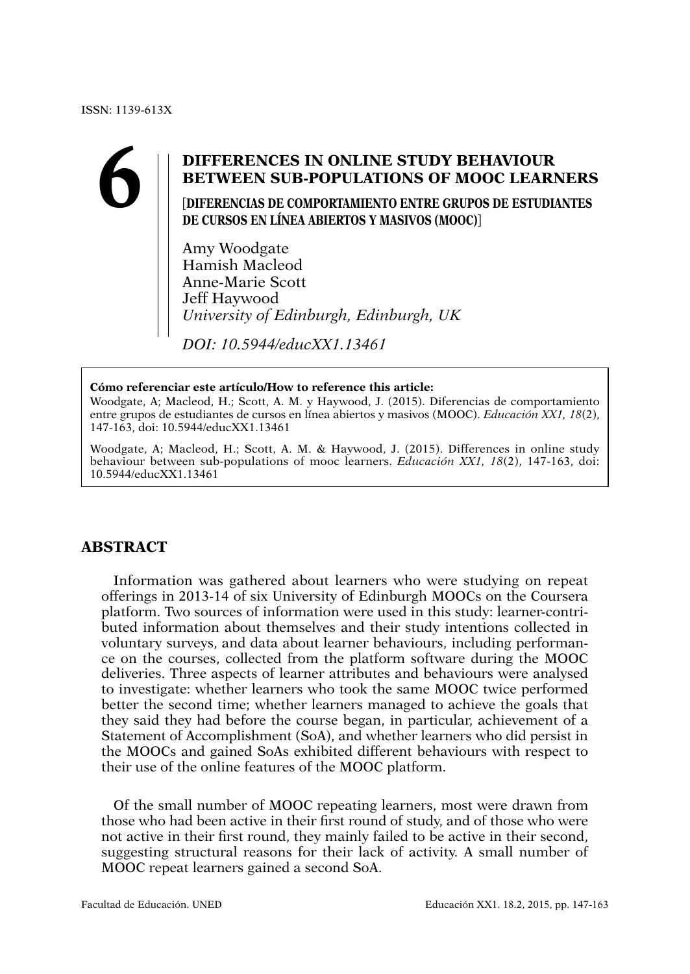# **6 DIFFERENCES IN ONLINE STUDY BEHAVIOUR BETWEEN SUB-POPULATIONS OF MOOC LEARN**<br>
DIFERENCIAS DE COMPORTAMIENTO ENTRE GRUPOS DE ESTUDIA<br>
DE CURSOS EN LÍNEA ARIERTOS Y MASIVOS (MOOC)] **BETWEEN SUB-POPULATIONS OF MOOC LEARNERS**

[**DIFERENCIAS DE COMPORTAMIENTO ENTRE GRUPOS DE ESTUDIANTES DE CURSOS EN LÍNEA ABIERTOS Y MASIVOS (MOOC)**]

Amy Woodgate Hamish Macleod Anne-Marie Scott Jeff Haywood *University of Edinburgh, Edinburgh, UK*

*DOI: 10.5944/educXX1.13461*

#### **Cómo referenciar este artículo/How to reference this article:**

Woodgate, A; Macleod, H.; Scott, A. M. y Haywood, J. (2015). Diferencias de comportamiento entre grupos de estudiantes de cursos en línea abiertos y masivos (MOOC). *Educación XX1, 18*(2), 147-163, doi: 10.5944/educXX1.13461

Woodgate, A; Macleod, H.; Scott, A. M. & Haywood, J. (2015). Differences in online study behaviour between sub-populations of mooc learners. *Educación XX1, 18*(2), 147-163, doi: 10.5944/educXX1.13461

## **ABSTRACT**

Information was gathered about learners who were studying on repeat offerings in 2013-14 of six University of Edinburgh MOOCs on the Coursera platform. Two sources of information were used in this study: learner-contributed information about themselves and their study intentions collected in voluntary surveys, and data about learner behaviours, including performance on the courses, collected from the platform software during the MOOC deliveries. Three aspects of learner attributes and behaviours were analysed to investigate: whether learners who took the same MOOC twice performed better the second time; whether learners managed to achieve the goals that they said they had before the course began, in particular, achievement of a Statement of Accomplishment (SoA), and whether learners who did persist in the MOOCs and gained SoAs exhibited different behaviours with respect to their use of the online features of the MOOC platform.

Of the small number of MOOC repeating learners, most were drawn from those who had been active in their first round of study, and of those who were not active in their first round, they mainly failed to be active in their second, suggesting structural reasons for their lack of activity. A small number of MOOC repeat learners gained a second SoA.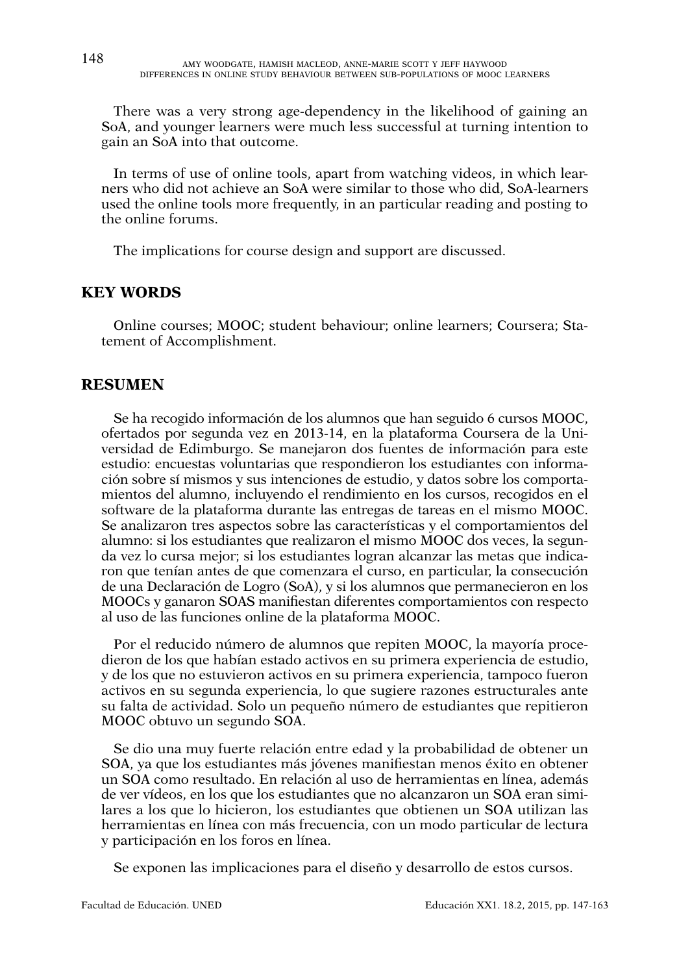There was a very strong age-dependency in the likelihood of gaining an SoA, and younger learners were much less successful at turning intention to gain an SoA into that outcome.

In terms of use of online tools, apart from watching videos, in which learners who did not achieve an SoA were similar to those who did, SoA-learners used the online tools more frequently, in an particular reading and posting to the online forums.

The implications for course design and support are discussed.

### **KEY WORDS**

Online courses; MOOC; student behaviour; online learners; Coursera; Statement of Accomplishment.

## **RESUMEN**

Se ha recogido información de los alumnos que han seguido 6 cursos MOOC, ofertados por segunda vez en 2013-14, en la plataforma Coursera de la Universidad de Edimburgo. Se manejaron dos fuentes de información para este estudio: encuestas voluntarias que respondieron los estudiantes con información sobre sí mismos y sus intenciones de estudio, y datos sobre los comportamientos del alumno, incluyendo el rendimiento en los cursos, recogidos en el software de la plataforma durante las entregas de tareas en el mismo MOOC. Se analizaron tres aspectos sobre las características y el comportamientos del alumno: si los estudiantes que realizaron el mismo MOOC dos veces, la segunda vez lo cursa mejor; si los estudiantes logran alcanzar las metas que indicaron que tenían antes de que comenzara el curso, en particular, la consecución de una Declaración de Logro (SoA), y si los alumnos que permanecieron en los MOOCs y ganaron SOAS manifiestan diferentes comportamientos con respecto al uso de las funciones online de la plataforma MOOC.

Por el reducido número de alumnos que repiten MOOC, la mayoría procedieron de los que habían estado activos en su primera experiencia de estudio, y de los que no estuvieron activos en su primera experiencia, tampoco fueron activos en su segunda experiencia, lo que sugiere razones estructurales ante su falta de actividad. Solo un pequeño número de estudiantes que repitieron MOOC obtuvo un segundo SOA.

Se dio una muy fuerte relación entre edad y la probabilidad de obtener un SOA, ya que los estudiantes más jóvenes manifiestan menos éxito en obtener un SOA como resultado. En relación al uso de herramientas en línea, además de ver vídeos, en los que los estudiantes que no alcanzaron un SOA eran similares a los que lo hicieron, los estudiantes que obtienen un SOA utilizan las herramientas en línea con más frecuencia, con un modo particular de lectura y participación en los foros en línea.

Se exponen las implicaciones para el diseño y desarrollo de estos cursos.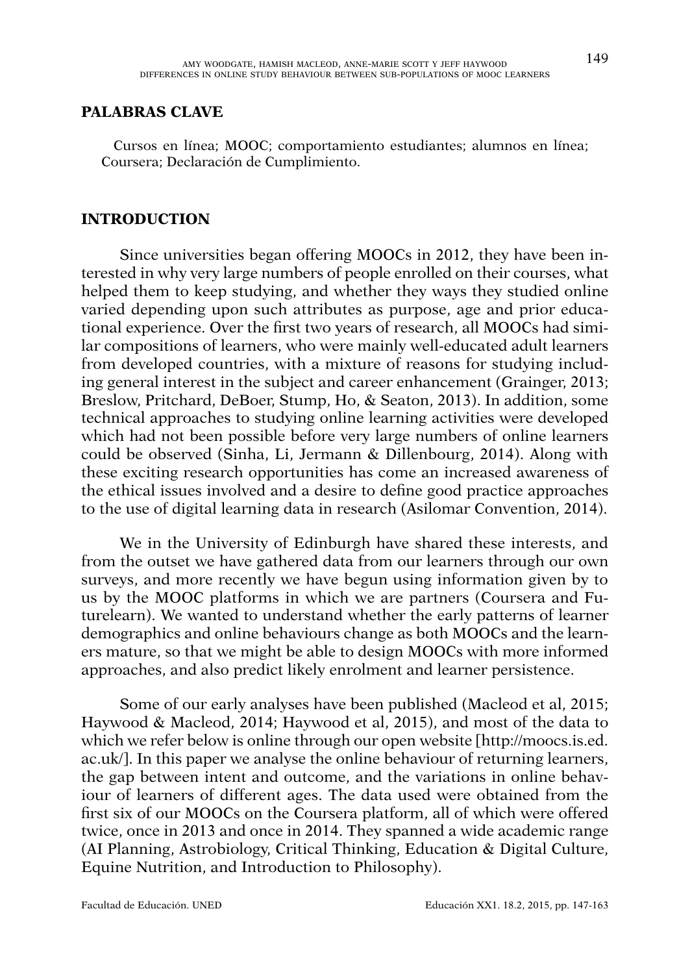### **PALABRAS CLAVE**

Cursos en línea; MOOC; comportamiento estudiantes; alumnos en línea; Coursera; Declaración de Cumplimiento.

## **INTRODUCTION**

Since universities began offering MOOCs in 2012, they have been interested in why very large numbers of people enrolled on their courses, what helped them to keep studying, and whether they ways they studied online varied depending upon such attributes as purpose, age and prior educational experience. Over the first two years of research, all MOOCs had similar compositions of learners, who were mainly well-educated adult learners from developed countries, with a mixture of reasons for studying including general interest in the subject and career enhancement (Grainger, 2013; Breslow, Pritchard, DeBoer, Stump, Ho, & Seaton, 2013). In addition, some technical approaches to studying online learning activities were developed which had not been possible before very large numbers of online learners could be observed (Sinha, Li, Jermann & Dillenbourg, 2014). Along with these exciting research opportunities has come an increased awareness of the ethical issues involved and a desire to define good practice approaches to the use of digital learning data in research (Asilomar Convention, 2014).

We in the University of Edinburgh have shared these interests, and from the outset we have gathered data from our learners through our own surveys, and more recently we have begun using information given by to us by the MOOC platforms in which we are partners (Coursera and Futurelearn). We wanted to understand whether the early patterns of learner demographics and online behaviours change as both MOOCs and the learners mature, so that we might be able to design MOOCs with more informed approaches, and also predict likely enrolment and learner persistence.

Some of our early analyses have been published (Macleod et al, 2015; Haywood & Macleod, 2014; Haywood et al, 2015), and most of the data to which we refer below is online through our open website [\[http://moocs.is.ed.](http://moocs.is.ed.ac.uk) [ac.uk](http://moocs.is.ed.ac.uk)/]. In this paper we analyse the online behaviour of returning learners, the gap between intent and outcome, and the variations in online behaviour of learners of different ages. The data used were obtained from the first six of our MOOCs on the Coursera platform, all of which were offered twice, once in 2013 and once in 2014. They spanned a wide academic range (AI Planning, Astrobiology, Critical Thinking, Education & Digital Culture, Equine Nutrition, and Introduction to Philosophy).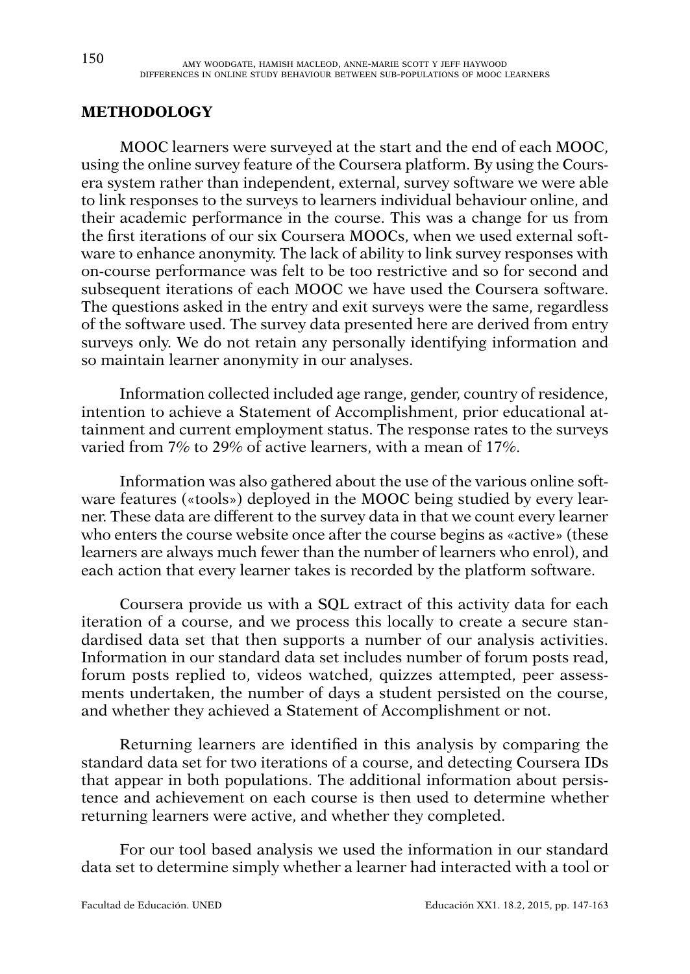## **METHODOLOGY**

MOOC learners were surveyed at the start and the end of each MOOC, using the online survey feature of the Coursera platform. By using the Coursera system rather than independent, external, survey software we were able to link responses to the surveys to learners individual behaviour online, and their academic performance in the course. This was a change for us from the first iterations of our six Coursera MOOCs, when we used external software to enhance anonymity. The lack of ability to link survey responses with on-course performance was felt to be too restrictive and so for second and subsequent iterations of each MOOC we have used the Coursera software. The questions asked in the entry and exit surveys were the same, regardless of the software used. The survey data presented here are derived from entry surveys only. We do not retain any personally identifying information and so maintain learner anonymity in our analyses.

Information collected included age range, gender, country of residence, intention to achieve a Statement of Accomplishment, prior educational attainment and current employment status. The response rates to the surveys varied from 7% to 29% of active learners, with a mean of 17%.

Information was also gathered about the use of the various online software features («tools») deployed in the MOOC being studied by every learner. These data are different to the survey data in that we count every learner who enters the course website once after the course begins as «active» (these learners are always much fewer than the number of learners who enrol), and each action that every learner takes is recorded by the platform software.

Coursera provide us with a SQL extract of this activity data for each iteration of a course, and we process this locally to create a secure standardised data set that then supports a number of our analysis activities. Information in our standard data set includes number of forum posts read, forum posts replied to, videos watched, quizzes attempted, peer assessments undertaken, the number of days a student persisted on the course, and whether they achieved a Statement of Accomplishment or not.

Returning learners are identified in this analysis by comparing the standard data set for two iterations of a course, and detecting Coursera IDs that appear in both populations. The additional information about persistence and achievement on each course is then used to determine whether returning learners were active, and whether they completed.

For our tool based analysis we used the information in our standard data set to determine simply whether a learner had interacted with a tool or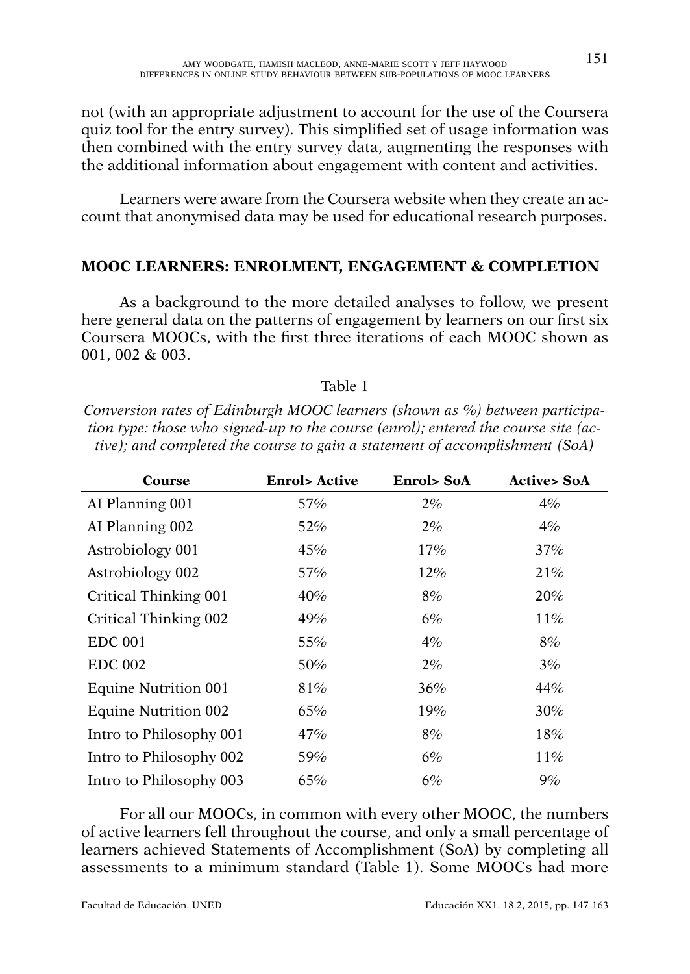not (with an appropriate adjustment to account for the use of the Coursera quiz tool for the entry survey). This simplified set of usage information was then combined with the entry survey data, augmenting the responses with the additional information about engagement with content and activities.

Learners were aware from the Coursera website when they create an account that anonymised data may be used for educational research purposes.

## **MOOC LEARNERS: ENROLMENT, ENGAGEMENT & COMPLETION**

As a background to the more detailed analyses to follow, we present here general data on the patterns of engagement by learners on our first six Coursera MOOCs, with the first three iterations of each MOOC shown as 001, 002 & 003.

#### Table 1

*Conversion rates of Edinburgh MOOC learners (shown as %) between participation type: those who signed-up to the course (enrol); entered the course site (active); and completed the course to gain a statement of accomplishment (SoA)*

| Course                  | <b>Enrol</b> > Active | <b>Enrol&gt; SoA</b> | <b>Active&gt; SoA</b> |
|-------------------------|-----------------------|----------------------|-----------------------|
| AI Planning 001         | 57%                   | 2%                   | 4%                    |
| AI Planning 002         | $52\%$                | 2%                   | 4%                    |
| Astrobiology 001        | 45%                   | 17%                  | 37%                   |
| Astrobiology 002        | 57%                   | 12%                  | 21%                   |
| Critical Thinking 001   | 40%                   | 8%                   | 20%                   |
| Critical Thinking 002   | 49%                   | 6%                   | 11%                   |
| <b>EDC 001</b>          | 55%                   | 4%                   | 8%                    |
| <b>EDC 002</b>          | 50%                   | 2%                   | 3%                    |
| Equine Nutrition 001    | 81%                   | 36%                  | 44%                   |
| Equine Nutrition 002    | 65%                   | 19%                  | 30%                   |
| Intro to Philosophy 001 | 47%                   | 8%                   | 18%                   |
| Intro to Philosophy 002 | 59%                   | 6%                   | 11%                   |
| Intro to Philosophy 003 | 65%                   | 6%                   | 9%                    |

For all our MOOCs, in common with every other MOOC, the numbers of active learners fell throughout the course, and only a small percentage of learners achieved Statements of Accomplishment (SoA) by completing all assessments to a minimum standard (Table 1). Some MOOCs had more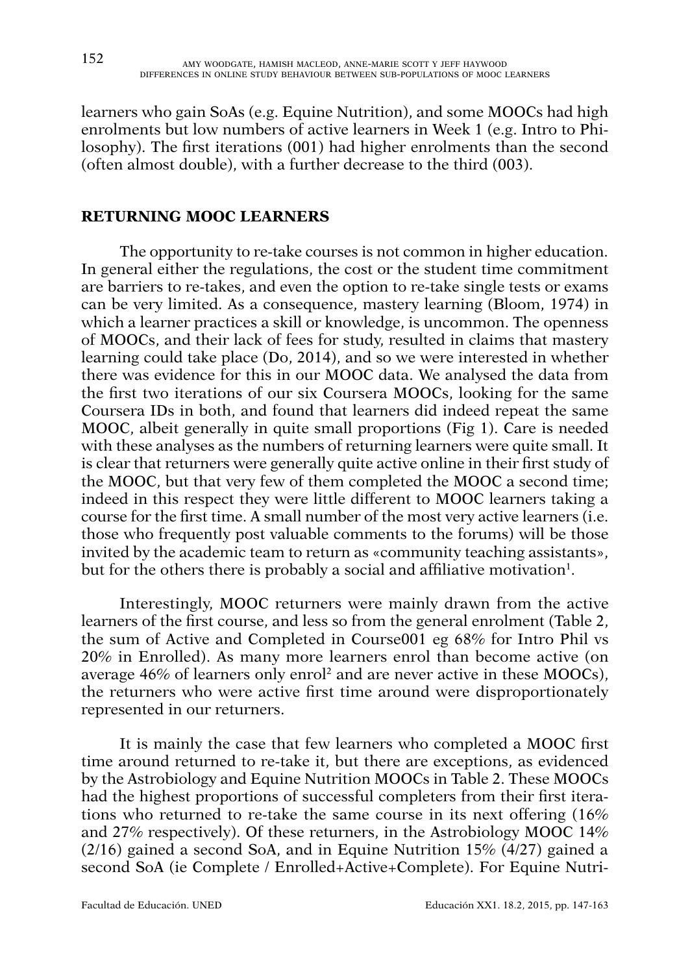learners who gain SoAs (e.g. Equine Nutrition), and some MOOCs had high enrolments but low numbers of active learners in Week 1 (e.g. Intro to Philosophy). The first iterations (001) had higher enrolments than the second (often almost double), with a further decrease to the third (003).

## **RETURNING MOOC LEARNERS**

The opportunity to re-take courses is not common in higher education. In general either the regulations, the cost or the student time commitment are barriers to re-takes, and even the option to re-take single tests or exams can be very limited. As a consequence, mastery learning (Bloom, 1974) in which a learner practices a skill or knowledge, is uncommon. The openness of MOOCs, and their lack of fees for study, resulted in claims that mastery learning could take place (Do, 2014), and so we were interested in whether there was evidence for this in our MOOC data. We analysed the data from the first two iterations of our six Coursera MOOCs, looking for the same Coursera IDs in both, and found that learners did indeed repeat the same MOOC, albeit generally in quite small proportions (Fig 1). Care is needed with these analyses as the numbers of returning learners were quite small. It is clear that returners were generally quite active online in their first study of the MOOC, but that very few of them completed the MOOC a second time; indeed in this respect they were little different to MOOC learners taking a course for the first time. A small number of the most very active learners (i.e. those who frequently post valuable comments to the forums) will be those invited by the academic team to return as «community teaching assistants», but for the others there is probably a social and affiliative motivation<sup>1</sup>.

Interestingly, MOOC returners were mainly drawn from the active learners of the first course, and less so from the general enrolment (Table 2, the sum of Active and Completed in Course001 eg 68% for Intro Phil vs 20% in Enrolled). As many more learners enrol than become active (on average 46% of learners only enrol2 and are never active in these MOOCs), the returners who were active first time around were disproportionately represented in our returners.

It is mainly the case that few learners who completed a MOOC first time around returned to re-take it, but there are exceptions, as evidenced by the Astrobiology and Equine Nutrition MOOCs in Table 2. These MOOCs had the highest proportions of successful completers from their first iterations who returned to re-take the same course in its next offering (16% and 27% respectively). Of these returners, in the Astrobiology MOOC 14% (2/16) gained a second SoA, and in Equine Nutrition 15% (4/27) gained a second SoA (ie Complete / Enrolled+Active+Complete). For Equine Nutri-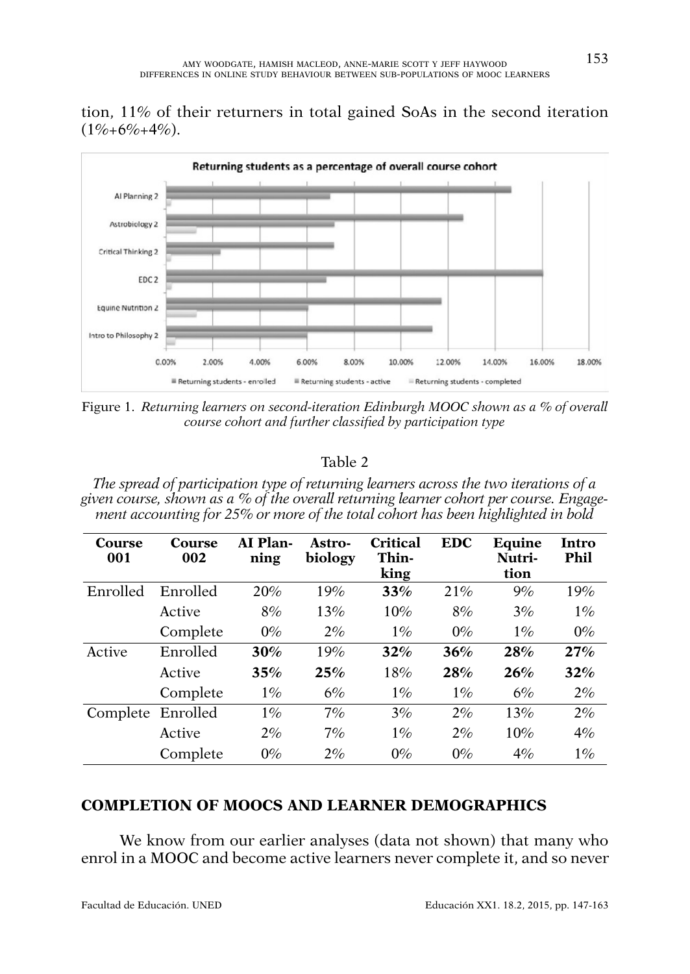tion, 11% of their returners in total gained SoAs in the second iteration  $(1\% + 6\% + 4\%)$ .



Figure 1. *Returning learners on second-iteration Edinburgh MOOC shown as a % of overall course cohort and further classified by participation type*

## Table 2

*The spread of participation type of returning learners across the two iterations of a given course, shown as a % of the overall returning learner cohort per course. Engagement accounting for 25% or more of the total cohort has been highlighted in bold*

| Course<br>001 | Course<br>002 | AI Plan-<br>ning | Astro-<br>biology | Critical<br>Thin-<br>king | <b>EDC</b> | Equine<br>Nutri-<br>tion | Intro<br>Phil |
|---------------|---------------|------------------|-------------------|---------------------------|------------|--------------------------|---------------|
| Enrolled      | Enrolled      | 20%              | 19%               | 33%                       | 21%        | 9%                       | 19%           |
|               | Active        | 8%               | 13%               | 10%                       | 8%         | 3%                       | $1\%$         |
|               | Complete      | $0\%$            | 2%                | $1\%$                     | $0\%$      | $1\%$                    | $0\%$         |
| Active        | Enrolled      | 30%              | 19%               | 32%                       | 36%        | 28%                      | 27%           |
|               | Active        | 35%              | 25%               | 18%                       | 28%        | 26%                      | 32%           |
|               | Complete      | 1%               | 6%                | $1\%$                     | 1%         | 6%                       | 2%            |
| Complete      | Enrolled      | 1%               | 7%                | 3%                        | 2%         | 13%                      | 2%            |
|               | Active        | 2%               | 7%                | $1\%$                     | 2%         | 10%                      | 4%            |
|               | Complete      | $0\%$            | 2%                | $0\%$                     | $0\%$      | 4%                       | 1%            |

### **COMPLETION OF MOOCS AND LEARNER DEMOGRAPHICS**

We know from our earlier analyses (data not shown) that many who enrol in a MOOC and become active learners never complete it, and so never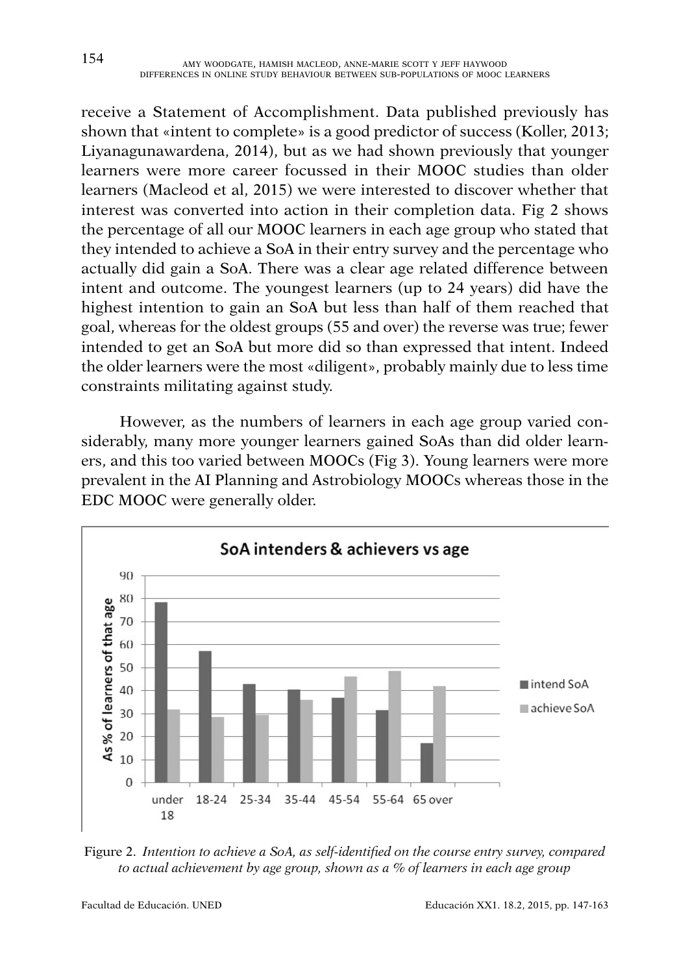receive a Statement of Accomplishment. Data published previously has shown that «intent to complete» is a good predictor of success (Koller, 2013; Liyanagunawardena, 2014), but as we had shown previously that younger learners were more career focussed in their MOOC studies than older learners (Macleod et al, 2015) we were interested to discover whether that interest was converted into action in their completion data. Fig 2 shows the percentage of all our MOOC learners in each age group who stated that they intended to achieve a SoA in their entry survey and the percentage who actually did gain a SoA. There was a clear age related difference between intent and outcome. The youngest learners (up to 24 years) did have the highest intention to gain an SoA but less than half of them reached that goal, whereas for the oldest groups (55 and over) the reverse was true; fewer intended to get an SoA but more did so than expressed that intent. Indeed the older learners were the most «diligent», probably mainly due to less time constraints militating against study.

However, as the numbers of learners in each age group varied considerably, many more younger learners gained SoAs than did older learners, and this too varied between MOOCs (Fig 3). Young learners were more prevalent in the AI Planning and Astrobiology MOOCs whereas those in the EDC MOOC were generally older.



Figure 2. *Intention to achieve a SoA, as self-identified on the course entry survey, compared to actual achievement by age group, shown as a % of learners in each age group*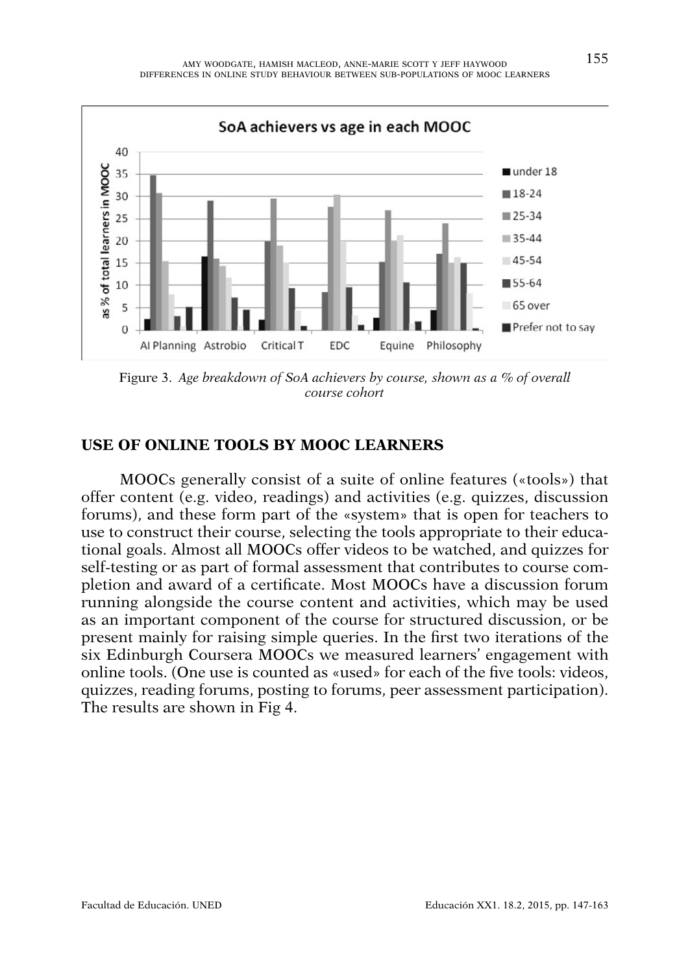

Figure 3. *Age breakdown of SoA achievers by course, shown as a % of overall course cohort*

## **USE OF ONLINE TOOLS BY MOOC LEARNERS**

MOOCs generally consist of a suite of online features («tools») that offer content (e.g. video, readings) and activities (e.g. quizzes, discussion forums), and these form part of the «system» that is open for teachers to use to construct their course, selecting the tools appropriate to their educational goals. Almost all MOOCs offer videos to be watched, and quizzes for self-testing or as part of formal assessment that contributes to course completion and award of a certificate. Most MOOCs have a discussion forum running alongside the course content and activities, which may be used as an important component of the course for structured discussion, or be present mainly for raising simple queries. In the first two iterations of the six Edinburgh Coursera MOOCs we measured learners' engagement with online tools. (One use is counted as «used» for each of the five tools: videos, quizzes, reading forums, posting to forums, peer assessment participation). The results are shown in Fig 4.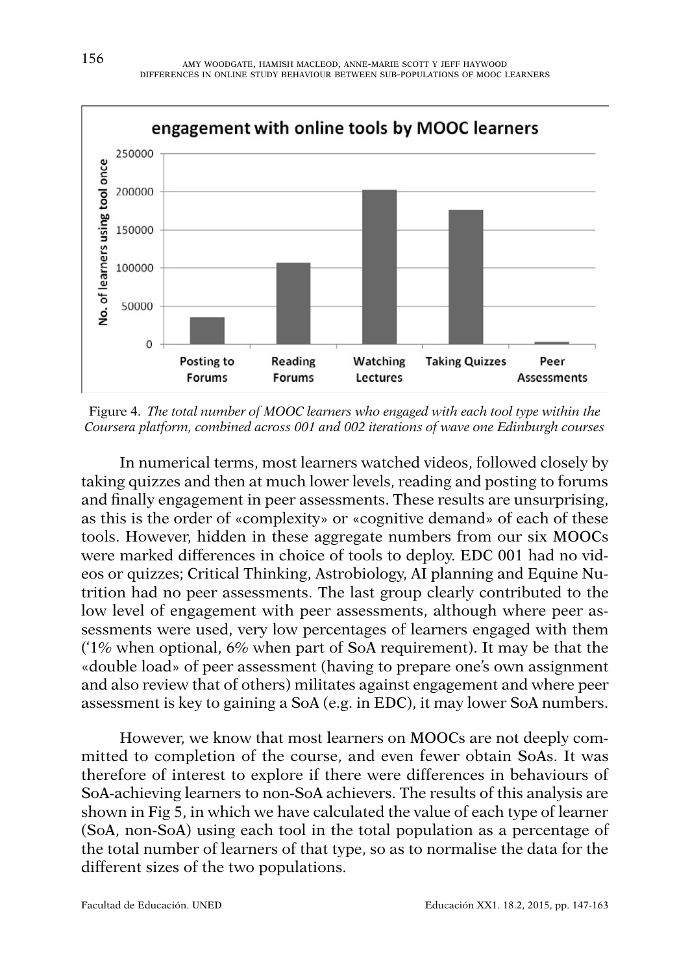

Figure 4. *The total number of MOOC learners who engaged with each tool type within the Coursera platform, combined across 001 and 002 iterations of wave one Edinburgh courses*

In numerical terms, most learners watched videos, followed closely by taking quizzes and then at much lower levels, reading and posting to forums and finally engagement in peer assessments. These results are unsurprising, as this is the order of «complexity» or «cognitive demand» of each of these tools. However, hidden in these aggregate numbers from our six MOOCs were marked differences in choice of tools to deploy. EDC 001 had no videos or quizzes; Critical Thinking, Astrobiology, AI planning and Equine Nutrition had no peer assessments. The last group clearly contributed to the low level of engagement with peer assessments, although where peer assessments were used, very low percentages of learners engaged with them ('1% when optional, 6% when part of SoA requirement). It may be that the «double load» of peer assessment (having to prepare one's own assignment and also review that of others) militates against engagement and where peer assessment is key to gaining a SoA (e.g. in EDC), it may lower SoA numbers.

However, we know that most learners on MOOCs are not deeply committed to completion of the course, and even fewer obtain SoAs. It was therefore of interest to explore if there were differences in behaviours of SoA-achieving learners to non-SoA achievers. The results of this analysis are shown in Fig 5, in which we have calculated the value of each type of learner (SoA, non-SoA) using each tool in the total population as a percentage of the total number of learners of that type, so as to normalise the data for the different sizes of the two populations.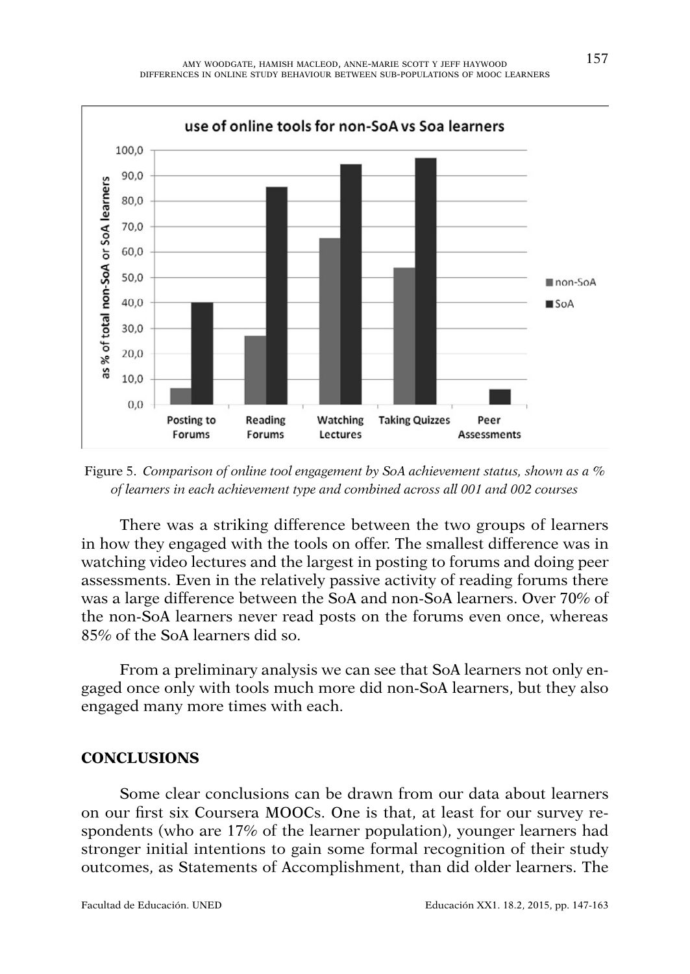

Figure 5. *Comparison of online tool engagement by SoA achievement status, shown as a % of learners in each achievement type and combined across all 001 and 002 courses*

There was a striking difference between the two groups of learners in how they engaged with the tools on offer. The smallest difference was in watching video lectures and the largest in posting to forums and doing peer assessments. Even in the relatively passive activity of reading forums there was a large difference between the SoA and non-SoA learners. Over 70% of the non-SoA learners never read posts on the forums even once, whereas 85% of the SoA learners did so.

From a preliminary analysis we can see that SoA learners not only engaged once only with tools much more did non-SoA learners, but they also engaged many more times with each.

## **CONCLUSIONS**

Some clear conclusions can be drawn from our data about learners on our first six Coursera MOOCs. One is that, at least for our survey respondents (who are 17% of the learner population), younger learners had stronger initial intentions to gain some formal recognition of their study outcomes, as Statements of Accomplishment, than did older learners. The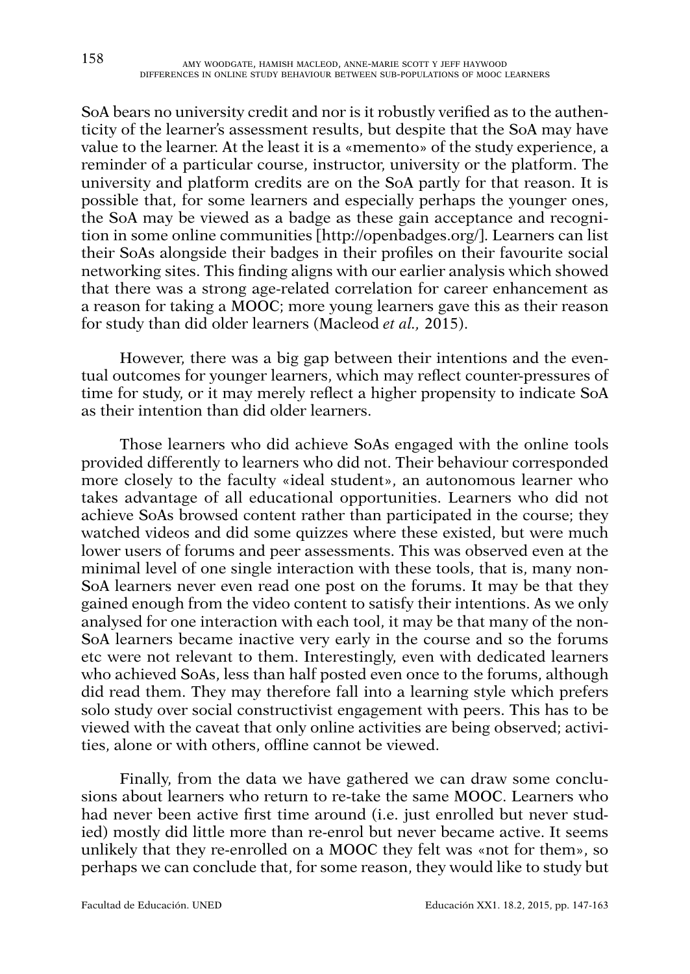SoA bears no university credit and nor is it robustly verified as to the authenticity of the learner's assessment results, but despite that the SoA may have value to the learner. At the least it is a «memento» of the study experience, a reminder of a particular course, instructor, university or the platform. The university and platform credits are on the SoA partly for that reason. It is possible that, for some learners and especially perhaps the younger ones, the SoA may be viewed as a badge as these gain acceptance and recognition in some online communities [<http://openbadges.org>/]. Learners can list their SoAs alongside their badges in their profiles on their favourite social networking sites. This finding aligns with our earlier analysis which showed that there was a strong age-related correlation for career enhancement as a reason for taking a MOOC; more young learners gave this as their reason for study than did older learners (Macleod *et al.,* 2015).

However, there was a big gap between their intentions and the eventual outcomes for younger learners, which may reflect counter-pressures of time for study, or it may merely reflect a higher propensity to indicate SoA as their intention than did older learners.

Those learners who did achieve SoAs engaged with the online tools provided differently to learners who did not. Their behaviour corresponded more closely to the faculty «ideal student», an autonomous learner who takes advantage of all educational opportunities. Learners who did not achieve SoAs browsed content rather than participated in the course; they watched videos and did some quizzes where these existed, but were much lower users of forums and peer assessments. This was observed even at the minimal level of one single interaction with these tools, that is, many non-SoA learners never even read one post on the forums. It may be that they gained enough from the video content to satisfy their intentions. As we only analysed for one interaction with each tool, it may be that many of the non-SoA learners became inactive very early in the course and so the forums etc were not relevant to them. Interestingly, even with dedicated learners who achieved SoAs, less than half posted even once to the forums, although did read them. They may therefore fall into a learning style which prefers solo study over social constructivist engagement with peers. This has to be viewed with the caveat that only online activities are being observed; activities, alone or with others, offline cannot be viewed.

Finally, from the data we have gathered we can draw some conclusions about learners who return to re-take the same MOOC. Learners who had never been active first time around (i.e. just enrolled but never studied) mostly did little more than re-enrol but never became active. It seems unlikely that they re-enrolled on a MOOC they felt was «not for them», so perhaps we can conclude that, for some reason, they would like to study but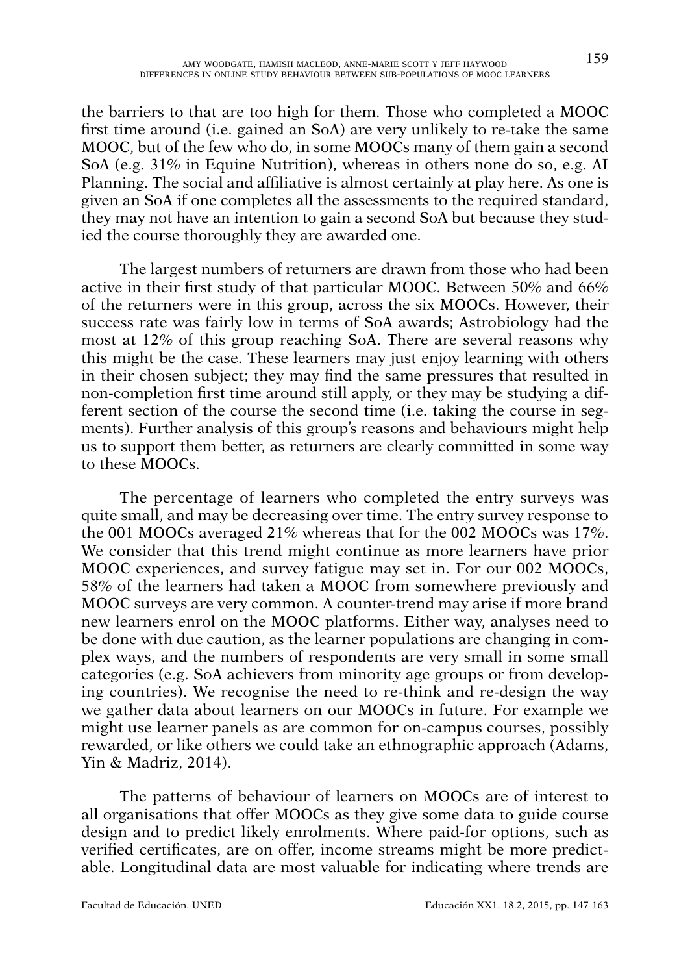the barriers to that are too high for them. Those who completed a MOOC first time around (i.e. gained an SoA) are very unlikely to re-take the same MOOC, but of the few who do, in some MOOCs many of them gain a second SoA (e.g. 31% in Equine Nutrition), whereas in others none do so, e.g. AI Planning. The social and affiliative is almost certainly at play here. As one is given an SoA if one completes all the assessments to the required standard, they may not have an intention to gain a second SoA but because they studied the course thoroughly they are awarded one.

The largest numbers of returners are drawn from those who had been active in their first study of that particular MOOC. Between 50% and 66% of the returners were in this group, across the six MOOCs. However, their success rate was fairly low in terms of SoA awards; Astrobiology had the most at 12% of this group reaching SoA. There are several reasons why this might be the case. These learners may just enjoy learning with others in their chosen subject; they may find the same pressures that resulted in non-completion first time around still apply, or they may be studying a different section of the course the second time (i.e. taking the course in segments). Further analysis of this group's reasons and behaviours might help us to support them better, as returners are clearly committed in some way to these MOOCs.

The percentage of learners who completed the entry surveys was quite small, and may be decreasing over time. The entry survey response to the 001 MOOCs averaged 21% whereas that for the 002 MOOCs was 17%. We consider that this trend might continue as more learners have prior MOOC experiences, and survey fatigue may set in. For our 002 MOOCs, 58% of the learners had taken a MOOC from somewhere previously and MOOC surveys are very common. A counter-trend may arise if more brand new learners enrol on the MOOC platforms. Either way, analyses need to be done with due caution, as the learner populations are changing in complex ways, and the numbers of respondents are very small in some small categories (e.g. SoA achievers from minority age groups or from developing countries). We recognise the need to re-think and re-design the way we gather data about learners on our MOOCs in future. For example we might use learner panels as are common for on-campus courses, possibly rewarded, or like others we could take an ethnographic approach (Adams, Yin & Madriz, 2014).

The patterns of behaviour of learners on MOOCs are of interest to all organisations that offer MOOCs as they give some data to guide course design and to predict likely enrolments. Where paid-for options, such as verified certificates, are on offer, income streams might be more predictable. Longitudinal data are most valuable for indicating where trends are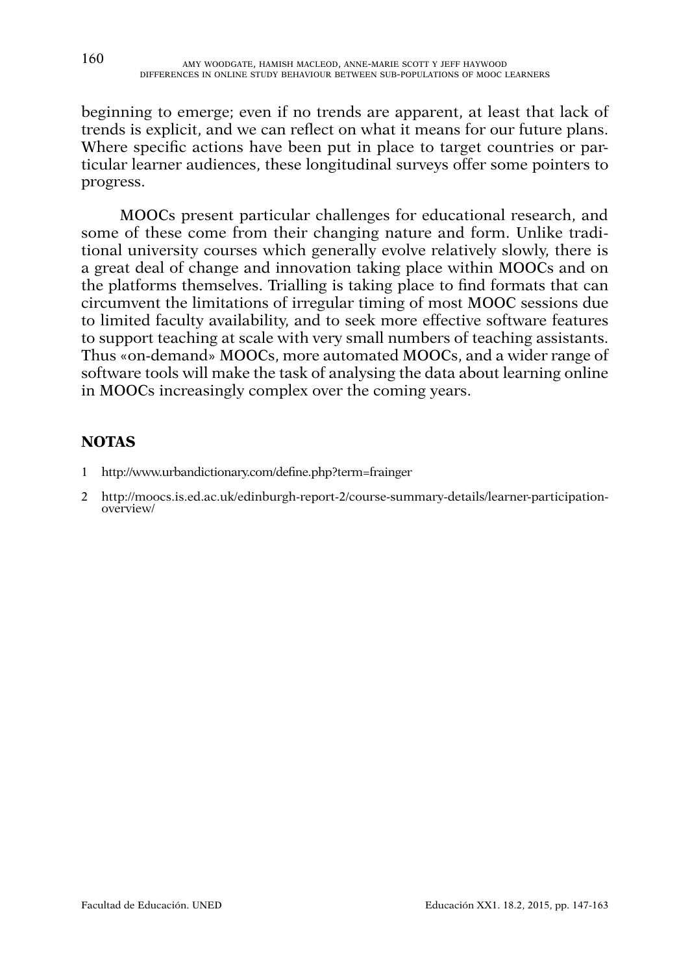beginning to emerge; even if no trends are apparent, at least that lack of trends is explicit, and we can reflect on what it means for our future plans. Where specific actions have been put in place to target countries or particular learner audiences, these longitudinal surveys offer some pointers to progress.

MOOCs present particular challenges for educational research, and some of these come from their changing nature and form. Unlike traditional university courses which generally evolve relatively slowly, there is a great deal of change and innovation taking place within MOOCs and on the platforms themselves. Trialling is taking place to find formats that can circumvent the limitations of irregular timing of most MOOC sessions due to limited faculty availability, and to seek more effective software features to support teaching at scale with very small numbers of teaching assistants. Thus «on-demand» MOOCs, more automated MOOCs, and a wider range of software tools will make the task of analysing the data about learning online in MOOCs increasingly complex over the coming years.

## **NOTAS**

- 1 <http://www.urbandictionary.com/define.php?term=frainger>
- 2 [http://moocs.is.ed.ac.uk/edinburgh-report-2/course-summary-details/learner-participation](http://moocs.is.ed.ac.uk/edinburgh-report-2/course-summary-details/learner-participation-overview)[overview/](http://moocs.is.ed.ac.uk/edinburgh-report-2/course-summary-details/learner-participation-overview)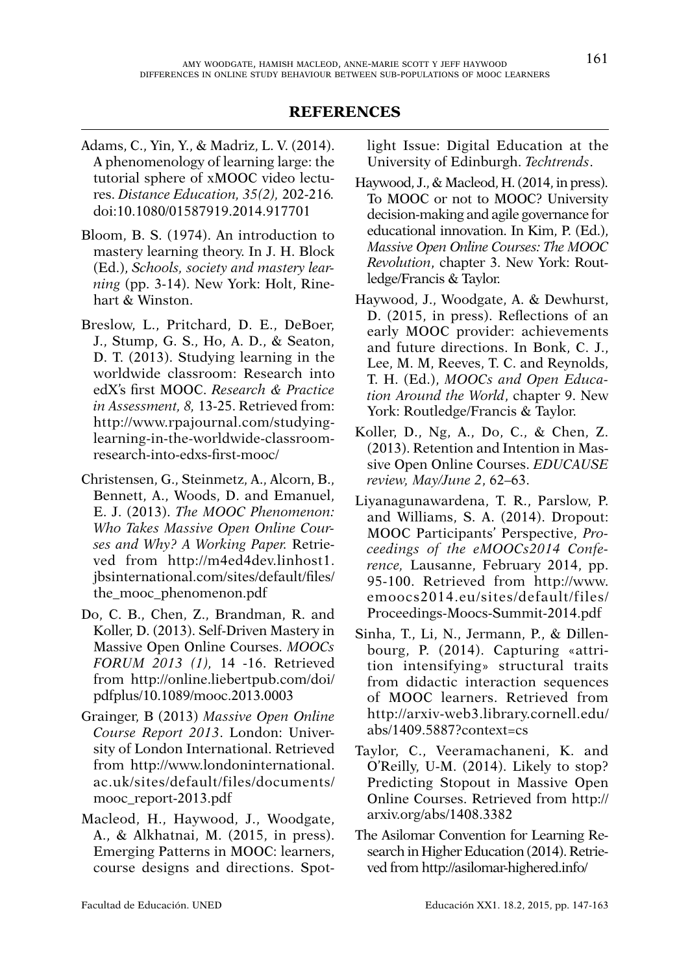#### **REFERENCES**

- Adams, C., Yin, Y., & Madriz, L. V. (2014). A phenomenology of learning large: the tutorial sphere of xMOOC video lectures. *Distance Education, 35(2),* 202-216*.*  doi:10.1080/01587919.2014.917701
- Bloom, B. S. (1974). An introduction to mastery learning theory. In J. H. Block (Ed.), *Schools, society and mastery learning* (pp. 3-14). New York: Holt, Rinehart & Winston.
- Breslow, L., Pritchard, D. E., DeBoer, J., Stump, G. S., Ho, A. D., & Seaton, D. T. (2013). Studying learning in the worldwide classroom: Research into edX's first MOOC. *Research & Practice in Assessment, 8,* 13-25. Retrieved from: [http://www.rpajournal.com/studying](http://www.rpajournal.com/studying-learning-in-the-worldwide-classroom-research-into-edxs-first-mooc/)[learning-in-the-worldwide-classroom](http://www.rpajournal.com/studying-learning-in-the-worldwide-classroom-research-into-edxs-first-mooc/)[research-into-edxs-first-mooc/](http://www.rpajournal.com/studying-learning-in-the-worldwide-classroom-research-into-edxs-first-mooc/)
- Christensen, G., Steinmetz, A., Alcorn, B., Bennett, A., Woods, D. and Emanuel, E. J. (2013). *The MOOC Phenomenon: Who Takes Massive Open Online Courses and Why? A Working Paper.* Retrieved from [http://m4ed4dev.linhost1.](http://m4ed4dev.linhost1.jbsinternational.com/sites/default/files/the_mooc_phenomenon.pdf) [jbsinternational.com/sites/default/files/](http://m4ed4dev.linhost1.jbsinternational.com/sites/default/files/the_mooc_phenomenon.pdf) [the\\_mooc\\_phenomenon.pdf](http://m4ed4dev.linhost1.jbsinternational.com/sites/default/files/the_mooc_phenomenon.pdf)
- Do, C. B., Chen, Z., Brandman, R. and Koller, D. (2013). Self-Driven Mastery in Massive Open Online Courses. *MOOCs FORUM 2013 (1),* 14 -16. Retrieved from [http://online.liebertpub.com/doi/](http://online.liebertpub.com/doi/pdfplus/10.1089/mooc.2013.0003) [pdfplus/10.1089/mooc.2013.0003](http://online.liebertpub.com/doi/pdfplus/10.1089/mooc.2013.0003)
- Grainger, B (2013) *Massive Open Online Course Report 2013*. London: University of London International. Retrieved from [http://www.londoninternational.](http://www.londoninternational.ac.uk/sites/default/files/documents/mooc_report-2013.pdf) [ac.uk/sites/default/files/documents/](http://www.londoninternational.ac.uk/sites/default/files/documents/mooc_report-2013.pdf) [mooc\\_report-2013.pdf](http://www.londoninternational.ac.uk/sites/default/files/documents/mooc_report-2013.pdf)
- Macleod, H., Haywood, J., Woodgate, A., & Alkhatnai, M. (2015, in press). Emerging Patterns in MOOC: learners, course designs and directions. Spot-

light Issue: Digital Education at the University of Edinburgh. *Techtrends*.

- Haywood, J., & Macleod, H. (2014, in press). To MOOC or not to MOOC? University decision-making and agile governance for educational innovation. In Kim, P. (Ed.), *Massive Open Online Courses: The MOOC Revolution*, chapter 3. New York: Routledge/Francis & Taylor.
- Haywood, J., Woodgate, A. & Dewhurst, D. (2015, in press). Reflections of an early MOOC provider: achievements and future directions. In Bonk, C. J., Lee, M. M, Reeves, T. C. and Reynolds, T. H. (Ed.), *MOOCs and Open Education Around the World*, chapter 9. New York: Routledge/Francis & Taylor.
- Koller, D., Ng, A., Do, C., & Chen, Z. (2013). Retention and Intention in Massive Open Online Courses. *EDUCAUSE review, May/June 2*, 62–63.
- Liyanagunawardena, T. R., Parslow, P. and Williams, S. A. (2014). Dropout: MOOC Participants' Perspective, *Proceedings of the eMOOCs2014 Conference,* Lausanne, February 2014, pp. 95-100. Retrieved from [http://www.](http://www.emoocs2014.eu/sites/default/files/Proceedings-Moocs-Summit-2014.pdf) [emoocs2014.eu/sites/default/files/](http://www.emoocs2014.eu/sites/default/files/Proceedings-Moocs-Summit-2014.pdf) [Proceedings-Moocs-Summit-2014.pdf](http://www.emoocs2014.eu/sites/default/files/Proceedings-Moocs-Summit-2014.pdf)
- Sinha, T., Li, N., Jermann, P., & Dillenbourg, P. (2014). Capturing «attrition intensifying» structural traits from didactic interaction sequences of MOOC learners. Retrieved from [http://arxiv-web3.library.cornell.edu/](http://arxiv-web3.library.cornell.edu/abs/1409.5887?context=cs) [abs/1409.5887?context=cs](http://arxiv-web3.library.cornell.edu/abs/1409.5887?context=cs)
- Taylor, C., Veeramachaneni, K. and O'Reilly, U-M. (2014). Likely to stop? Predicting Stopout in Massive Open Online Courses. Retrieved from [http://](http://arxiv.org/abs/1408.3382) [arxiv.org/abs/1408.3382](http://arxiv.org/abs/1408.3382)
- The Asilomar Convention for Learning Research in Higher Education (2014). Retrieved from<http://asilomar-highered.info/>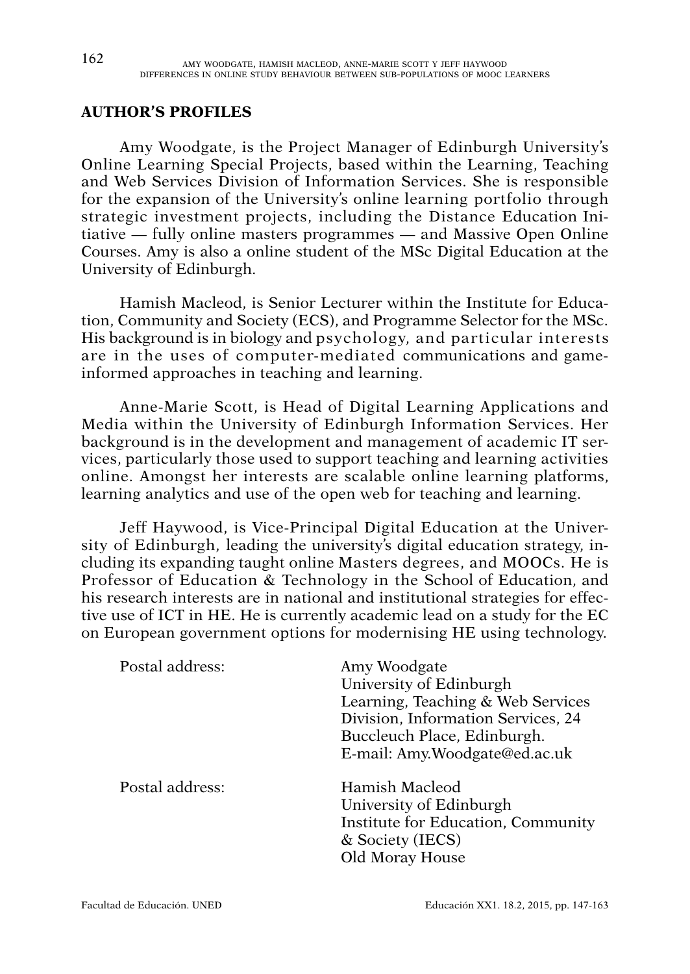## **AUTHOR'S PROFILES**

Amy Woodgate, is the Project Manager of Edinburgh University's Online Learning Special Projects, based within the Learning, Teaching and Web Services Division of Information Services. She is responsible for the expansion of the University's online learning portfolio through strategic investment projects, including the Distance Education Initiative — fully online masters programmes — and Massive Open Online Courses. Amy is also a online student of the MSc Digital Education at the University of Edinburgh.

Hamish Macleod, is Senior Lecturer within the Institute for Education, Community and Society (ECS), and Programme Selector for the MSc. His background is in biology and psychology, and particular interests are in the uses of computer-mediated communications and gameinformed approaches in teaching and learning.

Anne-Marie Scott, is Head of Digital Learning Applications and Media within the University of Edinburgh Information Services. Her background is in the development and management of academic IT services, particularly those used to support teaching and learning activities online. Amongst her interests are scalable online learning platforms, learning analytics and use of the open web for teaching and learning.

Jeff Haywood, is Vice-Principal Digital Education at the University of Edinburgh, leading the university's digital education strategy, including its expanding taught online Masters degrees, and MOOCs. He is Professor of Education & Technology in the School of Education, and his research interests are in national and institutional strategies for effective use of ICT in HE. He is currently academic lead on a study for the EC on European government options for modernising HE using technology.

| Postal address: | Amy Woodgate<br>University of Edinburgh<br>Learning, Teaching & Web Services<br>Division, Information Services, 24<br>Buccleuch Place, Edinburgh.<br>E-mail: Amy.Woodgate@ed.ac.uk |
|-----------------|------------------------------------------------------------------------------------------------------------------------------------------------------------------------------------|
| Postal address: | Hamish Macleod<br>University of Edinburgh<br>Institute for Education, Community<br>& Society (IECS)<br>Old Moray House                                                             |